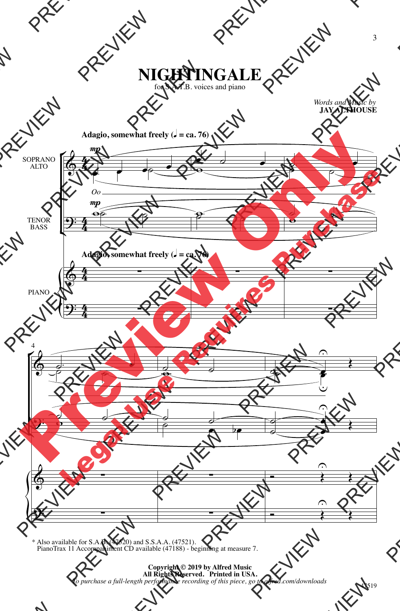## **NIGHTINGALE**

for S.A.T.B. voices and piano

*Words and Music by* **JAY ALTHOUSE**



\* Also available for S.A.B. (47520) and S.S.A.A. (47521). PianoTrax 11 Accompaniment CD available (47188) - beginning at measure 7.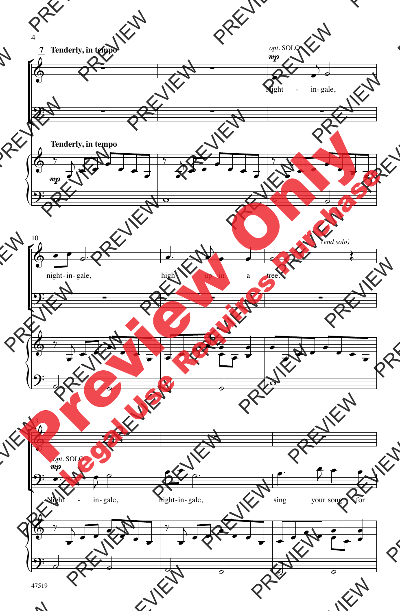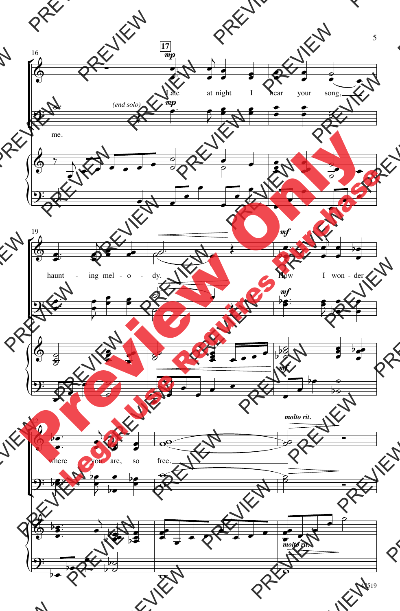

47519